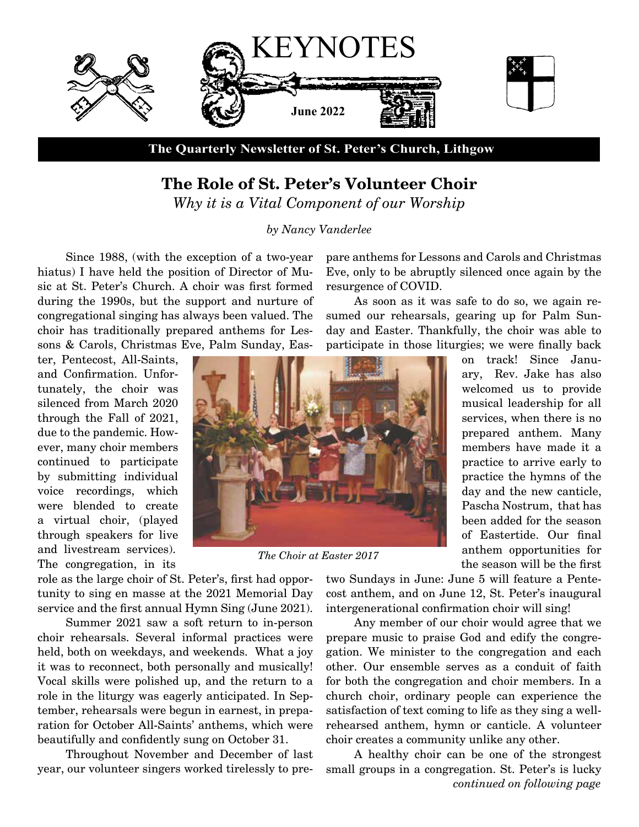

**The Quarterly Newsletter of St. Peter's Church, Lithgow**

## **The Role of St. Peter's Volunteer Choir**

*Why it is a Vital Component of our Worship*

*by Nancy Vanderlee*

Since 1988, (with the exception of a two-year hiatus) I have held the position of Director of Music at St. Peter's Church. A choir was first formed during the 1990s, but the support and nurture of congregational singing has always been valued. The choir has traditionally prepared anthems for Lessons & Carols, Christmas Eve, Palm Sunday, Eas-

ter, Pentecost, All-Saints, and Confirmation. Unfortunately, the choir was silenced from March 2020 through the Fall of 2021, due to the pandemic. However, many choir members continued to participate by submitting individual voice recordings, which were blended to create a virtual choir, (played through speakers for live and livestream services). The congregation, in its

*The Choir at Easter 2017*

ary, Rev. Jake has also welcomed us to provide musical leadership for all services, when there is no prepared anthem. Many members have made it a practice to arrive early to practice the hymns of the day and the new canticle, Pascha Nostrum, that has been added for the season of Eastertide. Our final anthem opportunities for the season will be the first

on track! Since Janu-

role as the large choir of St. Peter's, first had opportunity to sing en masse at the 2021 Memorial Day service and the first annual Hymn Sing (June 2021).

Summer 2021 saw a soft return to in-person choir rehearsals. Several informal practices were held, both on weekdays, and weekends. What a joy it was to reconnect, both personally and musically! Vocal skills were polished up, and the return to a role in the liturgy was eagerly anticipated. In September, rehearsals were begun in earnest, in preparation for October All-Saints' anthems, which were beautifully and confidently sung on October 31.

Throughout November and December of last year, our volunteer singers worked tirelessly to pretwo Sundays in June: June 5 will feature a Pentecost anthem, and on June 12, St. Peter's inaugural intergenerational confirmation choir will sing!

Any member of our choir would agree that we prepare music to praise God and edify the congregation. We minister to the congregation and each other. Our ensemble serves as a conduit of faith for both the congregation and choir members. In a church choir, ordinary people can experience the satisfaction of text coming to life as they sing a wellrehearsed anthem, hymn or canticle. A volunteer choir creates a community unlike any other.

A healthy choir can be one of the strongest small groups in a congregation. St. Peter's is lucky *continued on following page*

pare anthems for Lessons and Carols and Christmas Eve, only to be abruptly silenced once again by the resurgence of COVID.

As soon as it was safe to do so, we again resumed our rehearsals, gearing up for Palm Sunday and Easter. Thankfully, the choir was able to participate in those liturgies; we were finally back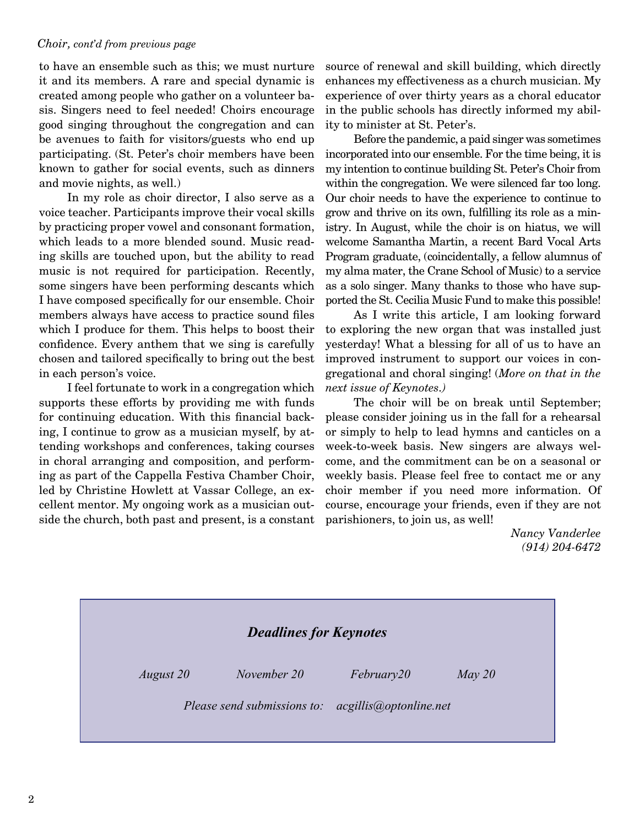#### *Choir, cont'd from previous page*

to have an ensemble such as this; we must nurture it and its members. A rare and special dynamic is created among people who gather on a volunteer basis. Singers need to feel needed! Choirs encourage good singing throughout the congregation and can be avenues to faith for visitors/guests who end up participating. (St. Peter's choir members have been known to gather for social events, such as dinners and movie nights, as well.)

In my role as choir director, I also serve as a voice teacher. Participants improve their vocal skills by practicing proper vowel and consonant formation, which leads to a more blended sound. Music reading skills are touched upon, but the ability to read music is not required for participation. Recently, some singers have been performing descants which I have composed specifically for our ensemble. Choir members always have access to practice sound files which I produce for them. This helps to boost their confidence. Every anthem that we sing is carefully chosen and tailored specifically to bring out the best in each person's voice.

I feel fortunate to work in a congregation which supports these efforts by providing me with funds for continuing education. With this financial backing, I continue to grow as a musician myself, by attending workshops and conferences, taking courses in choral arranging and composition, and performing as part of the Cappella Festiva Chamber Choir, led by Christine Howlett at Vassar College, an excellent mentor. My ongoing work as a musician outside the church, both past and present, is a constant source of renewal and skill building, which directly enhances my effectiveness as a church musician. My experience of over thirty years as a choral educator in the public schools has directly informed my ability to minister at St. Peter's.

Before the pandemic, a paid singer was sometimes incorporated into our ensemble. For the time being, it is my intention to continue building St. Peter's Choir from within the congregation. We were silenced far too long. Our choir needs to have the experience to continue to grow and thrive on its own, fulfilling its role as a ministry. In August, while the choir is on hiatus, we will welcome Samantha Martin, a recent Bard Vocal Arts Program graduate, (coincidentally, a fellow alumnus of my alma mater, the Crane School of Music) to a service as a solo singer. Many thanks to those who have supported the St. Cecilia Music Fund to make this possible!

As I write this article, I am looking forward to exploring the new organ that was installed just yesterday! What a blessing for all of us to have an improved instrument to support our voices in congregational and choral singing! (*More on that in the next issue of Keynotes.)*

The choir will be on break until September; please consider joining us in the fall for a rehearsal or simply to help to lead hymns and canticles on a week-to-week basis. New singers are always welcome, and the commitment can be on a seasonal or weekly basis. Please feel free to contact me or any choir member if you need more information. Of course, encourage your friends, even if they are not parishioners, to join us, as well!

> *Nancy Vanderlee (914) 204-6472*

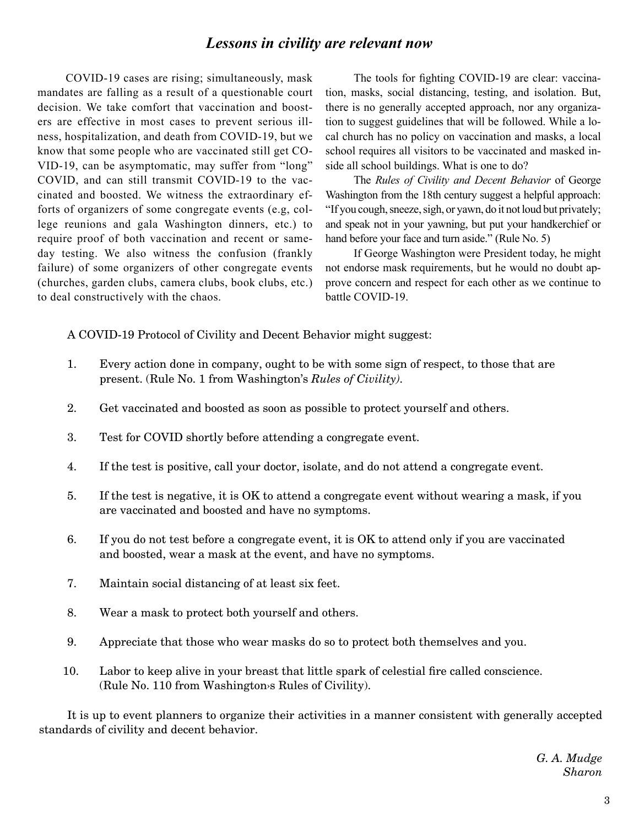### *Lessons in civility are relevant now*

COVID-19 cases are rising; simultaneously, mask mandates are falling as a result of a questionable court decision. We take comfort that vaccination and boosters are effective in most cases to prevent serious illness, hospitalization, and death from COVID-19, but we know that some people who are vaccinated still get CO-VID-19, can be asymptomatic, may suffer from "long" COVID, and can still transmit COVID-19 to the vaccinated and boosted. We witness the extraordinary efforts of organizers of some congregate events (e.g, college reunions and gala Washington dinners, etc.) to require proof of both vaccination and recent or sameday testing. We also witness the confusion (frankly failure) of some organizers of other congregate events (churches, garden clubs, camera clubs, book clubs, etc.) to deal constructively with the chaos.

The tools for fighting COVID-19 are clear: vaccination, masks, social distancing, testing, and isolation. But, there is no generally accepted approach, nor any organization to suggest guidelines that will be followed. While a local church has no policy on vaccination and masks, a local school requires all visitors to be vaccinated and masked inside all school buildings. What is one to do?

The *Rules of Civility and Decent Behavior* of George Washington from the 18th century suggest a helpful approach: "If you cough, sneeze, sigh, or yawn, do it not loud but privately; and speak not in your yawning, but put your handkerchief or hand before your face and turn aside." (Rule No. 5)

If George Washington were President today, he might not endorse mask requirements, but he would no doubt approve concern and respect for each other as we continue to battle COVID-19.

A COVID-19 Protocol of Civility and Decent Behavior might suggest:

- 1. Every action done in company, ought to be with some sign of respect, to those that are present. (Rule No. 1 from Washington's *Rules of Civility).*
- 2. Get vaccinated and boosted as soon as possible to protect yourself and others.
- 3. Test for COVID shortly before attending a congregate event.
- 4. If the test is positive, call your doctor, isolate, and do not attend a congregate event.
- 5. If the test is negative, it is OK to attend a congregate event without wearing a mask, if you are vaccinated and boosted and have no symptoms.
- 6. If you do not test before a congregate event, it is OK to attend only if you are vaccinated and boosted, wear a mask at the event, and have no symptoms.
- 7. Maintain social distancing of at least six feet.
- 8. Wear a mask to protect both yourself and others.
- 9. Appreciate that those who wear masks do so to protect both themselves and you.
- 10. Labor to keep alive in your breast that little spark of celestial fire called conscience. (Rule No. 110 from Washington›s Rules of Civility).

It is up to event planners to organize their activities in a manner consistent with generally accepted standards of civility and decent behavior.

> *G. A. Mudge Sharon*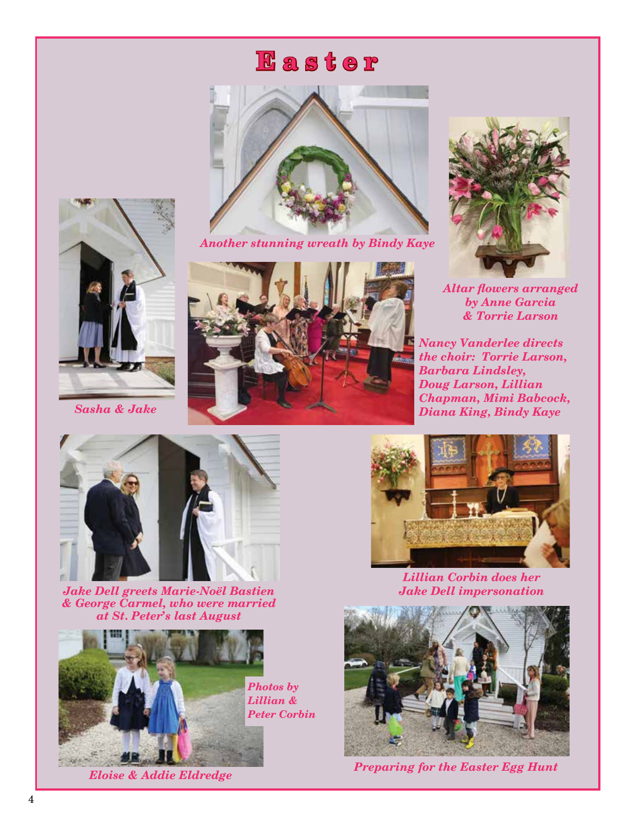## **E a s t e r**



*Another stunning wreath by Bindy Kaye*



*Altar flowers arranged by Anne Garcia & Torrie Larson*

*Nancy Vanderlee directs the choir: Torrie Larson, Barbara Lindsley, Doug Larson, Lillian Chapman, Mimi Babcock, Diana King, Bindy Kaye*



*Jake Dell greets Marie-Noël Bastien & George Carmel, who were married at St. Peter's last August*





*Lillian Corbin does her Jake Dell impersonation*



*Eloise & Addie Eldredge Preparing for the Easter Egg Hunt*



*Sasha & Jake*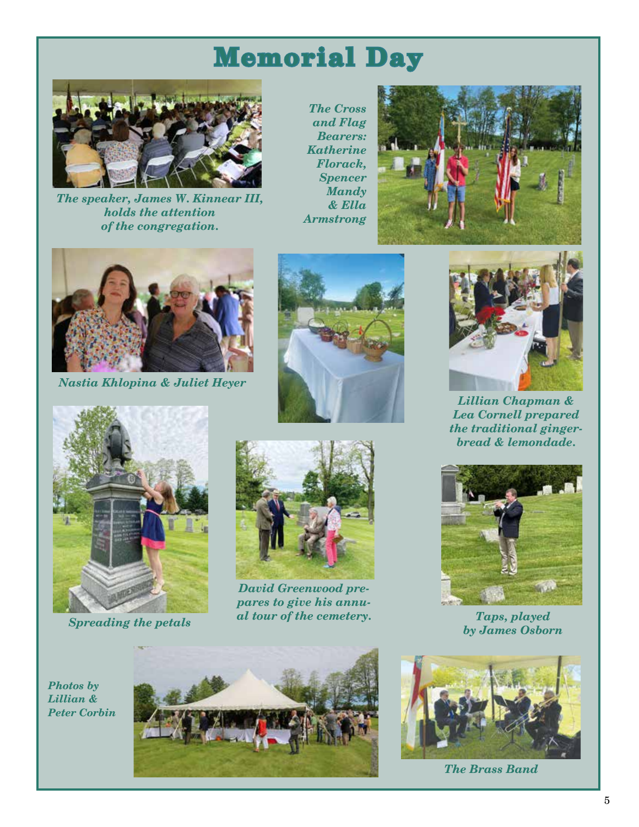# **Memorial Day**



*The speaker, James W. Kinnear III, holds the attention of the congregation.*

*The Cross and Flag Bearers: Katherine Florack, Spencer Mandy & Ella Armstrong*





*Nastia Khlopina & Juliet Heyer*



*Spreading the petals*





*David Greenwood prepares to give his annual tour of the cemetery. Taps, played*



*Lillian Chapman & Lea Cornell prepared the traditional gingerbread & lemondade.*



*by James Osborn* 

 *Photos by Lillian & Peter Corbin*





*The Brass Band*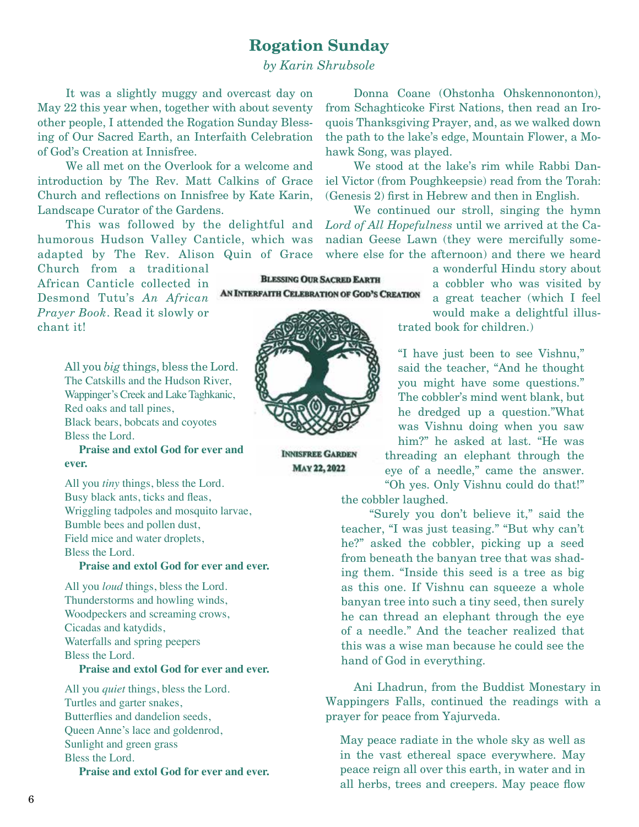### **Rogation Sunday**

*by Karin Shrubsole*

It was a slightly muggy and overcast day on May 22 this year when, together with about seventy other people, I attended the Rogation Sunday Blessing of Our Sacred Earth, an Interfaith Celebration of God's Creation at Innisfree.

We all met on the Overlook for a welcome and introduction by The Rev. Matt Calkins of Grace Church and reflections on Innisfree by Kate Karin, Landscape Curator of the Gardens.

This was followed by the delightful and humorous Hudson Valley Canticle, which was adapted by The Rev. Alison Quin of Grace

Church from a traditional African Canticle collected in Desmond Tutu's *An African Prayer Book*. Read it slowly or chant it!

> All you *big* things, bless the Lord. The Catskills and the Hudson River, Wappinger's Creek and Lake Taghkanic, Red oaks and tall pines, Black bears, bobcats and coyotes Bless the Lord.

 **Praise and extol God for ever and ever.**

All you *tiny* things, bless the Lord. Busy black ants, ticks and fleas, Wriggling tadpoles and mosquito larvae, Bumble bees and pollen dust, Field mice and water droplets, Bless the Lord.

#### **Praise and extol God for ever and ever.**

All you *loud* things, bless the Lord. Thunderstorms and howling winds, Woodpeckers and screaming crows, Cicadas and katydids, Waterfalls and spring peepers Bless the Lord. **Praise and extol God for ever and ever.**

All you *quiet* things, bless the Lord. Turtles and garter snakes, Butterflies and dandelion seeds, Queen Anne's lace and goldenrod, Sunlight and green grass Bless the Lord. **Praise and extol God for ever and ever.**

Donna Coane (Ohstonha Ohskennononton), from Schaghticoke First Nations, then read an Iroquois Thanksgiving Prayer, and, as we walked down the path to the lake's edge, Mountain Flower, a Mohawk Song, was played.

We stood at the lake's rim while Rabbi Daniel Victor (from Poughkeepsie) read from the Torah: (Genesis 2) first in Hebrew and then in English.

We continued our stroll, singing the hymn *Lord of All Hopefulness* until we arrived at the Canadian Geese Lawn (they were mercifully somewhere else for the afternoon) and there we heard

> a wonderful Hindu story about a cobbler who was visited by a great teacher (which I feel

would make a delightful illustrated book for children.)

"I have just been to see Vishnu," said the teacher, "And he thought you might have some questions." The cobbler's mind went blank, but he dredged up a question."What was Vishnu doing when you saw him?" he asked at last. "He was threading an elephant through the eye of a needle," came the answer. "Oh yes. Only Vishnu could do that!"

the cobbler laughed.

 "Surely you don't believe it," said the teacher, "I was just teasing." "But why can't he?" asked the cobbler, picking up a seed from beneath the banyan tree that was shading them. "Inside this seed is a tree as big as this one. If Vishnu can squeeze a whole banyan tree into such a tiny seed, then surely he can thread an elephant through the eye of a needle." And the teacher realized that this was a wise man because he could see the hand of God in everything.

Ani Lhadrun, from the Buddist Monestary in Wappingers Falls, continued the readings with a prayer for peace from Yajurveda.

May peace radiate in the whole sky as well as in the vast ethereal space everywhere. May peace reign all over this earth, in water and in all herbs, trees and creepers. May peace flow



**INNISFREE GARDEN MAY 22, 2022** 

**BLESSING OUR SACRED EARTH** AN INTERFAITH CELEBRATION OF GOD'S CREATION

6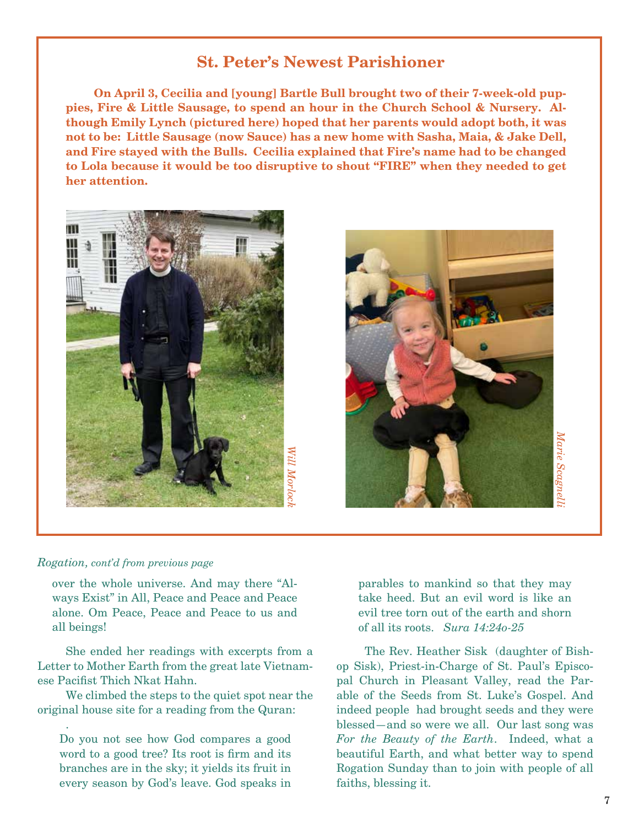### **St. Peter's Newest Parishioner**

**On April 3, Cecilia and [young] Bartle Bull brought two of their 7-week-old puppies, Fire & Little Sausage, to spend an hour in the Church School & Nursery. Although Emily Lynch (pictured here) hoped that her parents would adopt both, it was not to be: Little Sausage (now Sauce) has a new home with Sasha, Maia, & Jake Dell, and Fire stayed with the Bulls. Cecilia explained that Fire's name had to be changed to Lola because it would be too disruptive to shout "FIRE" when they needed to get her attention.**





#### *Rogation, cont'd from previous page*

.

over the whole universe. And may there "Always Exist" in All, Peace and Peace and Peace alone. Om Peace, Peace and Peace to us and all beings!

She ended her readings with excerpts from a Letter to Mother Earth from the great late Vietnamese Pacifist Thich Nkat Hahn.

We climbed the steps to the quiet spot near the original house site for a reading from the Quran:

Do you not see how God compares a good word to a good tree? Its root is firm and its branches are in the sky; it yields its fruit in every season by God's leave. God speaks in parables to mankind so that they may take heed. But an evil word is like an evil tree torn out of the earth and shorn of all its roots. *Sura 14:24o-25*

The Rev. Heather Sisk (daughter of Bishop Sisk), Priest-in-Charge of St. Paul's Episcopal Church in Pleasant Valley, read the Parable of the Seeds from St. Luke's Gospel. And indeed people had brought seeds and they were blessed—and so were we all. Our last song was *For the Beauty of the Earth*. Indeed, what a beautiful Earth, and what better way to spend Rogation Sunday than to join with people of all faiths, blessing it.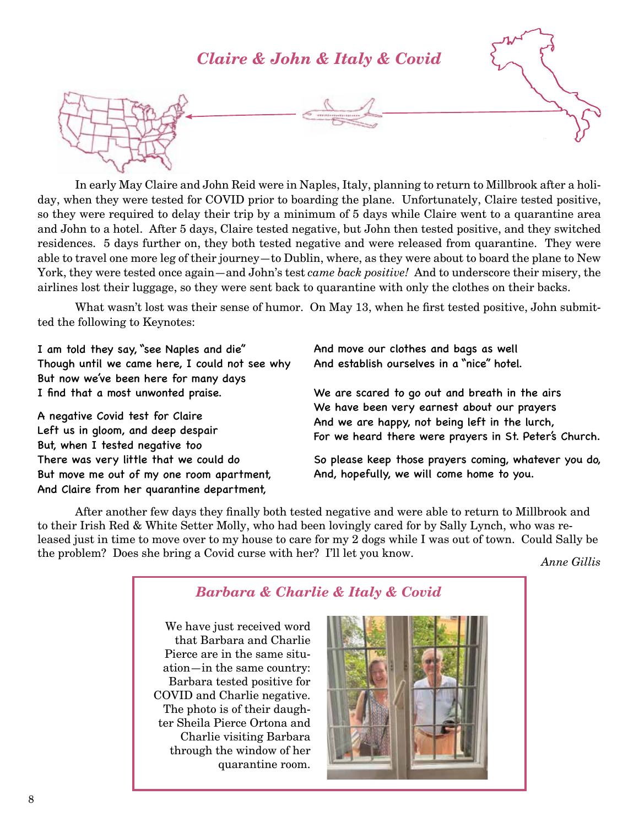### *Claire & John & Italy & Covid*



In early May Claire and John Reid were in Naples, Italy, planning to return to Millbrook after a holiday, when they were tested for COVID prior to boarding the plane. Unfortunately, Claire tested positive, so they were required to delay their trip by a minimum of 5 days while Claire went to a quarantine area and John to a hotel. After 5 days, Claire tested negative, but John then tested positive, and they switched residences. 5 days further on, they both tested negative and were released from quarantine. They were able to travel one more leg of their journey—to Dublin, where, as they were about to board the plane to New York, they were tested once again—and John's test *came back positive!* And to underscore their misery, the airlines lost their luggage, so they were sent back to quarantine with only the clothes on their backs.

What wasn't lost was their sense of humor. On May 13, when he first tested positive, John submitted the following to Keynotes:

I am told they say, "see Naples and die" Though until we came here, I could not see why But now we've been here for many days I find that a most unwonted praise.

A negative Covid test for Claire Left us in gloom, and deep despair But, when I tested negative too There was very little that we could do But move me out of my one room apartment, And Claire from her quarantine department,

And move our clothes and bags as well And establish ourselves in a "nice" hotel.

We are scared to go out and breath in the airs We have been very earnest about our prayers And we are happy, not being left in the lurch, For we heard there were prayers in St. Peter's Church.

So please keep those prayers coming, whatever you do, And, hopefully, we will come home to you.

After another few days they finally both tested negative and were able to return to Millbrook and to their Irish Red & White Setter Molly, who had been lovingly cared for by Sally Lynch, who was released just in time to move over to my house to care for my 2 dogs while I was out of town. Could Sally be the problem? Does she bring a Covid curse with her? I'll let you know. *Anne Gillis*

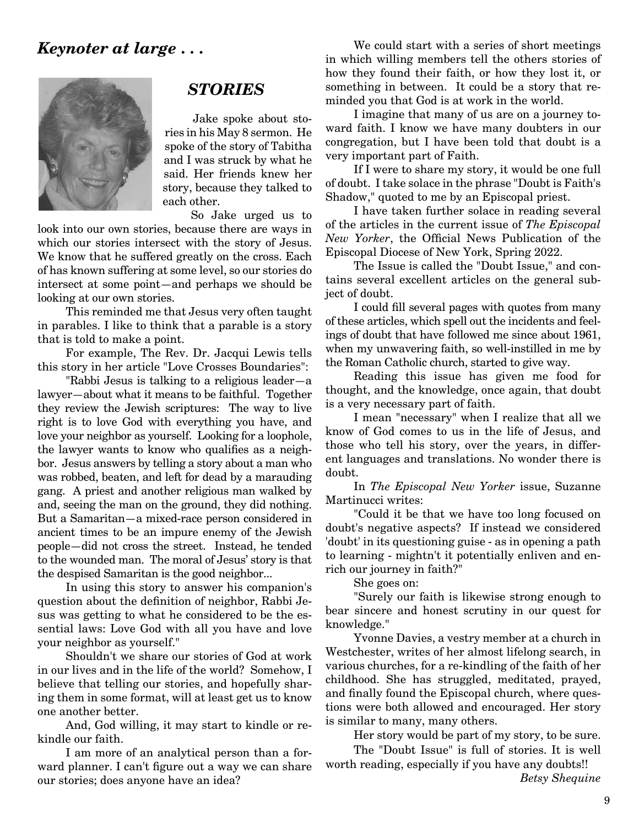

### *STORIES*

Jake spoke about stories in his May 8 sermon. He spoke of the story of Tabitha and I was struck by what he said. Her friends knew her story, because they talked to each other.

So Jake urged us to

look into our own stories, because there are ways in which our stories intersect with the story of Jesus. We know that he suffered greatly on the cross. Each of has known suffering at some level, so our stories do intersect at some point—and perhaps we should be looking at our own stories.

This reminded me that Jesus very often taught in parables. I like to think that a parable is a story that is told to make a point.

For example, The Rev. Dr. Jacqui Lewis tells this story in her article "Love Crosses Boundaries":

"Rabbi Jesus is talking to a religious leader—a lawyer—about what it means to be faithful. Together they review the Jewish scriptures: The way to live right is to love God with everything you have, and love your neighbor as yourself. Looking for a loophole, the lawyer wants to know who qualifies as a neighbor. Jesus answers by telling a story about a man who was robbed, beaten, and left for dead by a marauding gang. A priest and another religious man walked by and, seeing the man on the ground, they did nothing. But a Samaritan—a mixed-race person considered in ancient times to be an impure enemy of the Jewish people—did not cross the street. Instead, he tended to the wounded man. The moral of Jesus' story is that the despised Samaritan is the good neighbor...

In using this story to answer his companion's question about the definition of neighbor, Rabbi Jesus was getting to what he considered to be the essential laws: Love God with all you have and love your neighbor as yourself."

Shouldn't we share our stories of God at work in our lives and in the life of the world? Somehow, I believe that telling our stories, and hopefully sharing them in some format, will at least get us to know one another better.

And, God willing, it may start to kindle or rekindle our faith.

I am more of an analytical person than a forward planner. I can't figure out a way we can share our stories; does anyone have an idea?

We could start with a series of short meetings in which willing members tell the others stories of how they found their faith, or how they lost it, or something in between. It could be a story that reminded you that God is at work in the world.

I imagine that many of us are on a journey toward faith. I know we have many doubters in our congregation, but I have been told that doubt is a very important part of Faith.

If I were to share my story, it would be one full of doubt. I take solace in the phrase "Doubt is Faith's Shadow," quoted to me by an Episcopal priest.

I have taken further solace in reading several of the articles in the current issue of *The Episcopal New Yorker*, the Official News Publication of the Episcopal Diocese of New York, Spring 2022.

The Issue is called the "Doubt Issue," and contains several excellent articles on the general subject of doubt.

I could fill several pages with quotes from many of these articles, which spell out the incidents and feelings of doubt that have followed me since about 1961, when my unwavering faith, so well-instilled in me by the Roman Catholic church, started to give way.

Reading this issue has given me food for thought, and the knowledge, once again, that doubt is a very necessary part of faith.

I mean "necessary" when I realize that all we know of God comes to us in the life of Jesus, and those who tell his story, over the years, in different languages and translations. No wonder there is doubt.

In *The Episcopal New Yorker* issue, Suzanne Martinucci writes:

"Could it be that we have too long focused on doubt's negative aspects? If instead we considered 'doubt' in its questioning guise - as in opening a path to learning - mightn't it potentially enliven and enrich our journey in faith?"

She goes on:

"Surely our faith is likewise strong enough to bear sincere and honest scrutiny in our quest for knowledge."

Yvonne Davies, a vestry member at a church in Westchester, writes of her almost lifelong search, in various churches, for a re-kindling of the faith of her childhood. She has struggled, meditated, prayed, and finally found the Episcopal church, where questions were both allowed and encouraged. Her story is similar to many, many others.

Her story would be part of my story, to be sure. The "Doubt Issue" is full of stories. It is well worth reading, especially if you have any doubts!! *Betsy Shequine*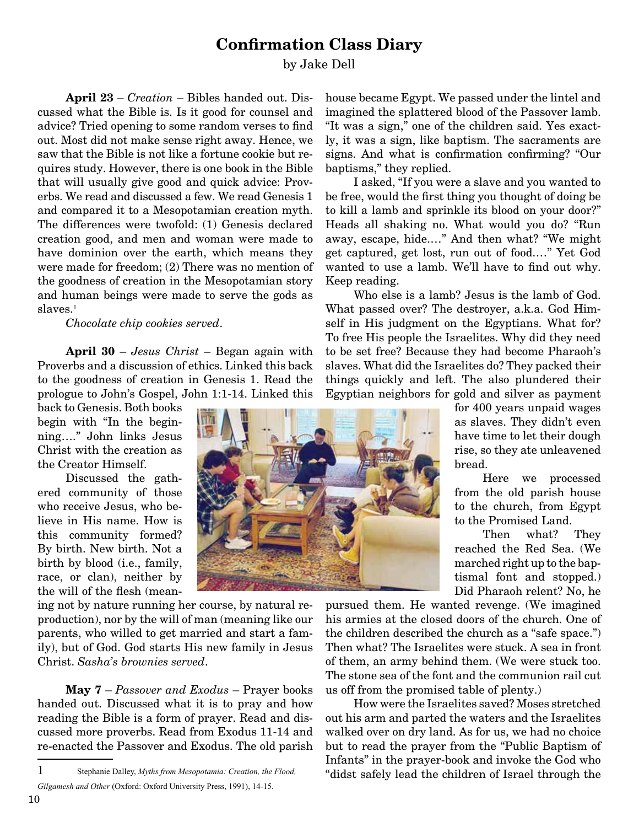### **Confirmation Class Diary**

#### by Jake Dell

**April 23** – *Creation* – Bibles handed out. Discussed what the Bible is. Is it good for counsel and advice? Tried opening to some random verses to find out. Most did not make sense right away. Hence, we saw that the Bible is not like a fortune cookie but requires study. However, there is one book in the Bible that will usually give good and quick advice: Proverbs. We read and discussed a few. We read Genesis 1 and compared it to a Mesopotamian creation myth. The differences were twofold: (1) Genesis declared creation good, and men and woman were made to have dominion over the earth, which means they were made for freedom; (2) There was no mention of the goodness of creation in the Mesopotamian story and human beings were made to serve the gods as slaves.<sup>1</sup>

*Chocolate chip cookies served*.

**April 30** – *Jesus Christ* – Began again with Proverbs and a discussion of ethics. Linked this back to the goodness of creation in Genesis 1. Read the prologue to John's Gospel, John 1:1-14. Linked this

back to Genesis. Both books begin with "In the beginning…." John links Jesus Christ with the creation as the Creator Himself.

Discussed the gathered community of those who receive Jesus, who believe in His name. How is this community formed? By birth. New birth. Not a birth by blood (i.e., family, race, or clan), neither by the will of the flesh (mean-

ing not by nature running her course, by natural reproduction), nor by the will of man (meaning like our parents, who willed to get married and start a family), but of God. God starts His new family in Jesus Christ. *Sasha's brownies served*.

**May 7** – *Passover and Exodus* – Prayer books handed out. Discussed what it is to pray and how reading the Bible is a form of prayer. Read and discussed more proverbs. Read from Exodus 11-14 and re-enacted the Passover and Exodus. The old parish house became Egypt. We passed under the lintel and imagined the splattered blood of the Passover lamb. "It was a sign," one of the children said. Yes exactly, it was a sign, like baptism. The sacraments are signs. And what is confirmation confirming? "Our baptisms," they replied.

I asked, "If you were a slave and you wanted to be free, would the first thing you thought of doing be to kill a lamb and sprinkle its blood on your door?" Heads all shaking no. What would you do? "Run away, escape, hide.…" And then what? "We might get captured, get lost, run out of food.…" Yet God wanted to use a lamb. We'll have to find out why. Keep reading.

Who else is a lamb? Jesus is the lamb of God. What passed over? The destroyer, a.k.a. God Himself in His judgment on the Egyptians. What for? To free His people the Israelites. Why did they need to be set free? Because they had become Pharaoh's slaves. What did the Israelites do? They packed their things quickly and left. The also plundered their Egyptian neighbors for gold and silver as payment

for 400 years unpaid wages as slaves. They didn't even have time to let their dough rise, so they ate unleavened bread.

Here we processed from the old parish house to the church, from Egypt to the Promised Land.

Then what? They reached the Red Sea. (We marched right up to the baptismal font and stopped.) Did Pharaoh relent? No, he

pursued them. He wanted revenge. (We imagined his armies at the closed doors of the church. One of the children described the church as a "safe space.") Then what? The Israelites were stuck. A sea in front of them, an army behind them. (We were stuck too. The stone sea of the font and the communion rail cut us off from the promised table of plenty.)

How were the Israelites saved? Moses stretched out his arm and parted the waters and the Israelites walked over on dry land. As for us, we had no choice but to read the prayer from the "Public Baptism of Infants" in the prayer-book and invoke the God who "didst safely lead the children of Israel through the



<sup>1</sup> Stephanie Dalley, *Myths from Mesopotamia: Creation, the Flood, Gilgamesh and Other* (Oxford: Oxford University Press, 1991), 14-15.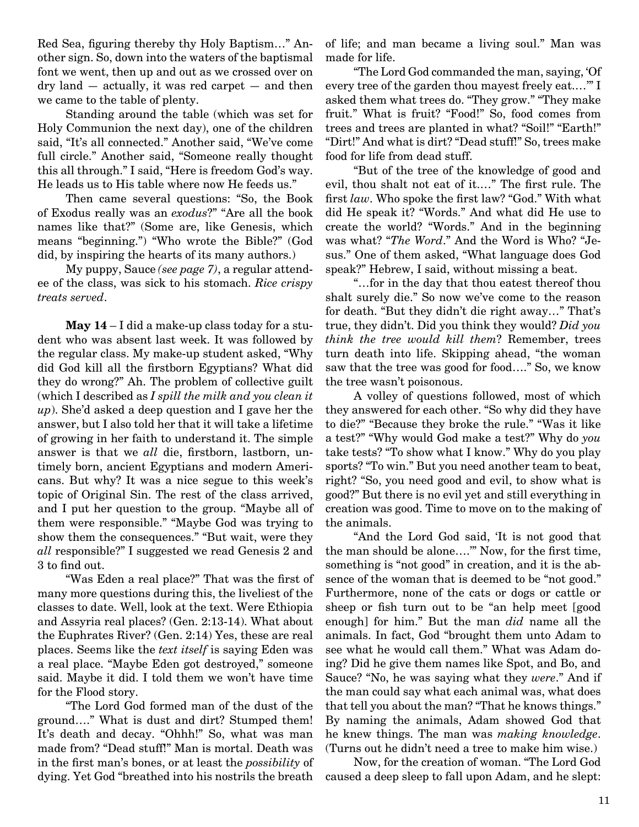Red Sea, figuring thereby thy Holy Baptism…" Another sign. So, down into the waters of the baptismal font we went, then up and out as we crossed over on dry land — actually, it was red carpet — and then we came to the table of plenty.

Standing around the table (which was set for Holy Communion the next day), one of the children said, "It's all connected." Another said, "We've come full circle." Another said, "Someone really thought this all through." I said, "Here is freedom God's way. He leads us to His table where now He feeds us."

Then came several questions: "So, the Book of Exodus really was an *exodus*?" "Are all the book names like that?" (Some are, like Genesis, which means "beginning.") "Who wrote the Bible?" (God did, by inspiring the hearts of its many authors.)

My puppy, Sauce *(see page 7)*, a regular attendee of the class, was sick to his stomach. *Rice crispy treats served*.

**May 14** – I did a make-up class today for a student who was absent last week. It was followed by the regular class. My make-up student asked, "Why did God kill all the firstborn Egyptians? What did they do wrong?" Ah. The problem of collective guilt (which I described as *I spill the milk and you clean it up*). She'd asked a deep question and I gave her the answer, but I also told her that it will take a lifetime of growing in her faith to understand it. The simple answer is that we *all* die, firstborn, lastborn, untimely born, ancient Egyptians and modern Americans. But why? It was a nice segue to this week's topic of Original Sin. The rest of the class arrived, and I put her question to the group. "Maybe all of them were responsible." "Maybe God was trying to show them the consequences." "But wait, were they *all* responsible?" I suggested we read Genesis 2 and 3 to find out.

"Was Eden a real place?" That was the first of many more questions during this, the liveliest of the classes to date. Well, look at the text. Were Ethiopia and Assyria real places? (Gen. 2:13-14). What about the Euphrates River? (Gen. 2:14) Yes, these are real places. Seems like the *text itself* is saying Eden was a real place. "Maybe Eden got destroyed," someone said. Maybe it did. I told them we won't have time for the Flood story.

"The Lord God formed man of the dust of the ground…." What is dust and dirt? Stumped them! It's death and decay. "Ohhh!" So, what was man made from? "Dead stuff!" Man is mortal. Death was in the first man's bones, or at least the *possibility* of dying. Yet God "breathed into his nostrils the breath of life; and man became a living soul." Man was made for life.

"The Lord God commanded the man, saying, 'Of every tree of the garden thou mayest freely eat.…'" I asked them what trees do. "They grow." "They make fruit." What is fruit? "Food!" So, food comes from trees and trees are planted in what? "Soil!" "Earth!" "Dirt!" And what is dirt? "Dead stuff!" So, trees make food for life from dead stuff.

"But of the tree of the knowledge of good and evil, thou shalt not eat of it.…" The first rule. The first *law*. Who spoke the first law? "God." With what did He speak it? "Words." And what did He use to create the world? "Words." And in the beginning was what? "*The Word*." And the Word is Who? "Jesus." One of them asked, "What language does God speak?" Hebrew, I said, without missing a beat.

"…for in the day that thou eatest thereof thou shalt surely die." So now we've come to the reason for death. "But they didn't die right away…" That's true, they didn't. Did you think they would? *Did you think the tree would kill them*? Remember, trees turn death into life. Skipping ahead, "the woman saw that the tree was good for food…." So, we know the tree wasn't poisonous.

A volley of questions followed, most of which they answered for each other. "So why did they have to die?" "Because they broke the rule." "Was it like a test?" "Why would God make a test?" Why do *you* take tests? "To show what I know." Why do you play sports? "To win." But you need another team to beat, right? "So, you need good and evil, to show what is good?" But there is no evil yet and still everything in creation was good. Time to move on to the making of the animals.

"And the Lord God said, 'It is not good that the man should be alone….'" Now, for the first time, something is "not good" in creation, and it is the absence of the woman that is deemed to be "not good." Furthermore, none of the cats or dogs or cattle or sheep or fish turn out to be "an help meet [good enough] for him." But the man *did* name all the animals. In fact, God "brought them unto Adam to see what he would call them." What was Adam doing? Did he give them names like Spot, and Bo, and Sauce? "No, he was saying what they *were*." And if the man could say what each animal was, what does that tell you about the man? "That he knows things." By naming the animals, Adam showed God that he knew things. The man was *making knowledge*. (Turns out he didn't need a tree to make him wise.)

Now, for the creation of woman. "The Lord God caused a deep sleep to fall upon Adam, and he slept: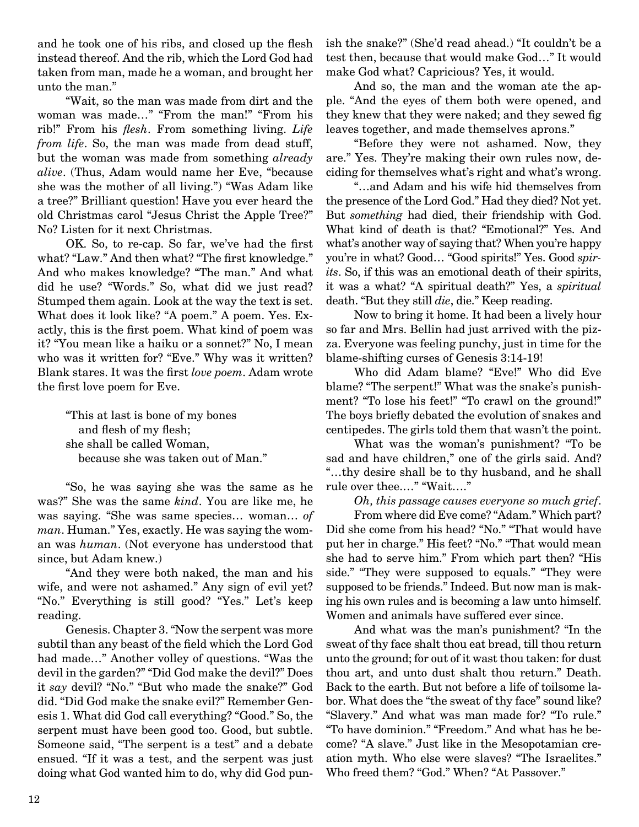and he took one of his ribs, and closed up the flesh instead thereof. And the rib, which the Lord God had taken from man, made he a woman, and brought her unto the man."

"Wait, so the man was made from dirt and the woman was made…" "From the man!" "From his rib!" From his *flesh*. From something living. *Life from life*. So, the man was made from dead stuff, but the woman was made from something *already alive*. (Thus, Adam would name her Eve, "because she was the mother of all living.") "Was Adam like a tree?" Brilliant question! Have you ever heard the old Christmas carol "Jesus Christ the Apple Tree?" No? Listen for it next Christmas.

OK. So, to re-cap. So far, we've had the first what? "Law." And then what? "The first knowledge." And who makes knowledge? "The man." And what did he use? "Words." So, what did we just read? Stumped them again. Look at the way the text is set. What does it look like? "A poem." A poem. Yes. Exactly, this is the first poem. What kind of poem was it? "You mean like a haiku or a sonnet?" No, I mean who was it written for? "Eve." Why was it written? Blank stares. It was the first *love poem*. Adam wrote the first love poem for Eve.

"This at last is bone of my bones and flesh of my flesh; she shall be called Woman, because she was taken out of Man."

"So, he was saying she was the same as he was?" She was the same *kind*. You are like me, he was saying. "She was same species… woman… *of man*. Human." Yes, exactly. He was saying the woman was *human*. (Not everyone has understood that since, but Adam knew.)

"And they were both naked, the man and his wife, and were not ashamed." Any sign of evil yet? "No." Everything is still good? "Yes." Let's keep reading.

Genesis. Chapter 3. "Now the serpent was more subtil than any beast of the field which the Lord God had made…" Another volley of questions. "Was the devil in the garden?" "Did God make the devil?" Does it *say* devil? "No." "But who made the snake?" God did. "Did God make the snake evil?" Remember Genesis 1. What did God call everything? "Good." So, the serpent must have been good too. Good, but subtle. Someone said, "The serpent is a test" and a debate ensued. "If it was a test, and the serpent was just doing what God wanted him to do, why did God punish the snake?" (She'd read ahead.) "It couldn't be a test then, because that would make God…" It would make God what? Capricious? Yes, it would.

And so, the man and the woman ate the apple. "And the eyes of them both were opened, and they knew that they were naked; and they sewed fig leaves together, and made themselves aprons."

"Before they were not ashamed. Now, they are." Yes. They're making their own rules now, deciding for themselves what's right and what's wrong.

"…and Adam and his wife hid themselves from the presence of the Lord God." Had they died? Not yet. But *something* had died, their friendship with God. What kind of death is that? "Emotional?" Yes. And what's another way of saying that? When you're happy you're in what? Good… "Good spirits!" Yes. Good *spirits*. So, if this was an emotional death of their spirits, it was a what? "A spiritual death?" Yes, a *spiritual* death. "But they still *die*, die." Keep reading.

Now to bring it home. It had been a lively hour so far and Mrs. Bellin had just arrived with the pizza. Everyone was feeling punchy, just in time for the blame-shifting curses of Genesis 3:14-19!

Who did Adam blame? "Eve!" Who did Eve blame? "The serpent!" What was the snake's punishment? "To lose his feet!" "To crawl on the ground!" The boys briefly debated the evolution of snakes and centipedes. The girls told them that wasn't the point.

What was the woman's punishment? "To be sad and have children," one of the girls said. And? "…thy desire shall be to thy husband, and he shall rule over thee.…" "Wait…."

*Oh, this passage causes everyone so much grief*.

From where did Eve come? "Adam." Which part? Did she come from his head? "No." "That would have put her in charge." His feet? "No." "That would mean she had to serve him." From which part then? "His side." "They were supposed to equals." "They were supposed to be friends." Indeed. But now man is making his own rules and is becoming a law unto himself. Women and animals have suffered ever since.

And what was the man's punishment? "In the sweat of thy face shalt thou eat bread, till thou return unto the ground; for out of it wast thou taken: for dust thou art, and unto dust shalt thou return." Death. Back to the earth. But not before a life of toilsome labor. What does the "the sweat of thy face" sound like? "Slavery." And what was man made for? "To rule." "To have dominion." "Freedom." And what has he become? "A slave." Just like in the Mesopotamian creation myth. Who else were slaves? "The Israelites." Who freed them? "God." When? "At Passover."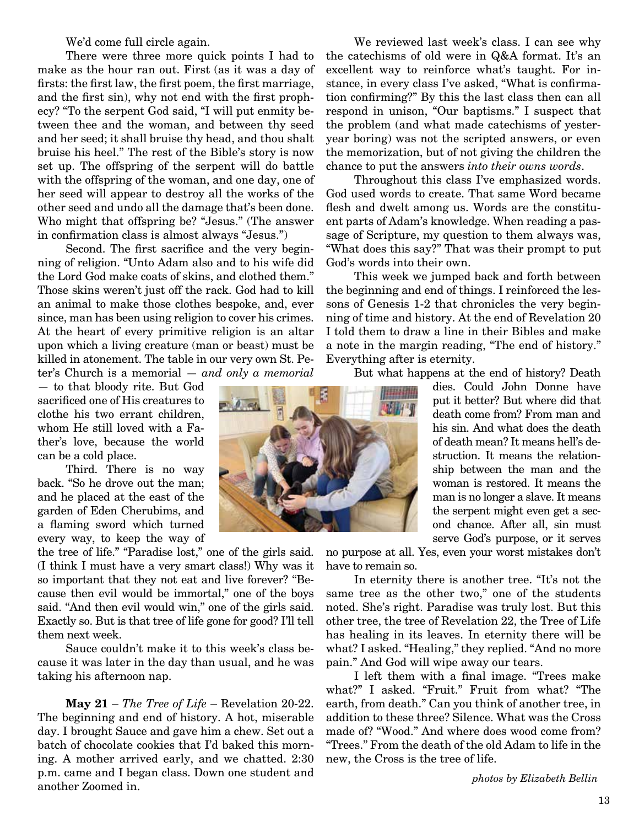We'd come full circle again.

There were three more quick points I had to make as the hour ran out. First (as it was a day of firsts: the first law, the first poem, the first marriage, and the first sin), why not end with the first prophecy? "To the serpent God said, "I will put enmity between thee and the woman, and between thy seed and her seed; it shall bruise thy head, and thou shalt bruise his heel." The rest of the Bible's story is now set up. The offspring of the serpent will do battle with the offspring of the woman, and one day, one of her seed will appear to destroy all the works of the other seed and undo all the damage that's been done. Who might that offspring be? "Jesus." (The answer in confirmation class is almost always "Jesus.")

Second. The first sacrifice and the very beginning of religion. "Unto Adam also and to his wife did the Lord God make coats of skins, and clothed them." Those skins weren't just off the rack. God had to kill an animal to make those clothes bespoke, and, ever since, man has been using religion to cover his crimes. At the heart of every primitive religion is an altar upon which a living creature (man or beast) must be killed in atonement. The table in our very own St. Peter's Church is a memorial — *and only a memorial*

— to that bloody rite. But God sacrificed one of His creatures to clothe his two errant children, whom He still loved with a Father's love, because the world can be a cold place.

Third. There is no way back. "So he drove out the man; and he placed at the east of the garden of Eden Cherubims, and a flaming sword which turned every way, to keep the way of

the tree of life." "Paradise lost," one of the girls said. (I think I must have a very smart class!) Why was it so important that they not eat and live forever? "Because then evil would be immortal," one of the boys said. "And then evil would win," one of the girls said. Exactly so. But is that tree of life gone for good? I'll tell them next week.

Sauce couldn't make it to this week's class because it was later in the day than usual, and he was taking his afternoon nap.

**May 21** – *The Tree of Life* – Revelation 20-22. The beginning and end of history. A hot, miserable day. I brought Sauce and gave him a chew. Set out a batch of chocolate cookies that I'd baked this morning. A mother arrived early, and we chatted. 2:30 p.m. came and I began class. Down one student and another Zoomed in.

God's words into their own. This week we jumped back and forth between the beginning and end of things. I reinforced the lessons of Genesis 1-2 that chronicles the very beginning of time and history. At the end of Revelation 20

I told them to draw a line in their Bibles and make a note in the margin reading, "The end of history." Everything after is eternity.

But what happens at the end of history? Death

dies. Could John Donne have put it better? But where did that death come from? From man and his sin. And what does the death of death mean? It means hell's destruction. It means the relationship between the man and the woman is restored. It means the man is no longer a slave. It means the serpent might even get a second chance. After all, sin must serve God's purpose, or it serves

no purpose at all. Yes, even your worst mistakes don't have to remain so.

In eternity there is another tree. "It's not the same tree as the other two," one of the students noted. She's right. Paradise was truly lost. But this other tree, the tree of Revelation 22, the Tree of Life has healing in its leaves. In eternity there will be what? I asked. "Healing," they replied. "And no more pain." And God will wipe away our tears.

I left them with a final image. "Trees make what?" I asked. "Fruit." Fruit from what? "The earth, from death." Can you think of another tree, in addition to these three? Silence. What was the Cross made of? "Wood." And where does wood come from? "Trees." From the death of the old Adam to life in the new, the Cross is the tree of life.

*photos by Elizabeth Bellin*



We reviewed last week's class. I can see why the catechisms of old were in Q&A format. It's an excellent way to reinforce what's taught. For instance, in every class I've asked, "What is confirmation confirming?" By this the last class then can all respond in unison, "Our baptisms." I suspect that the problem (and what made catechisms of yesteryear boring) was not the scripted answers, or even the memorization, but of not giving the children the chance to put the answers *into their owns words*.

God used words to create. That same Word became flesh and dwelt among us. Words are the constituent parts of Adam's knowledge. When reading a passage of Scripture, my question to them always was, "What does this say?" That was their prompt to put

Throughout this class I've emphasized words.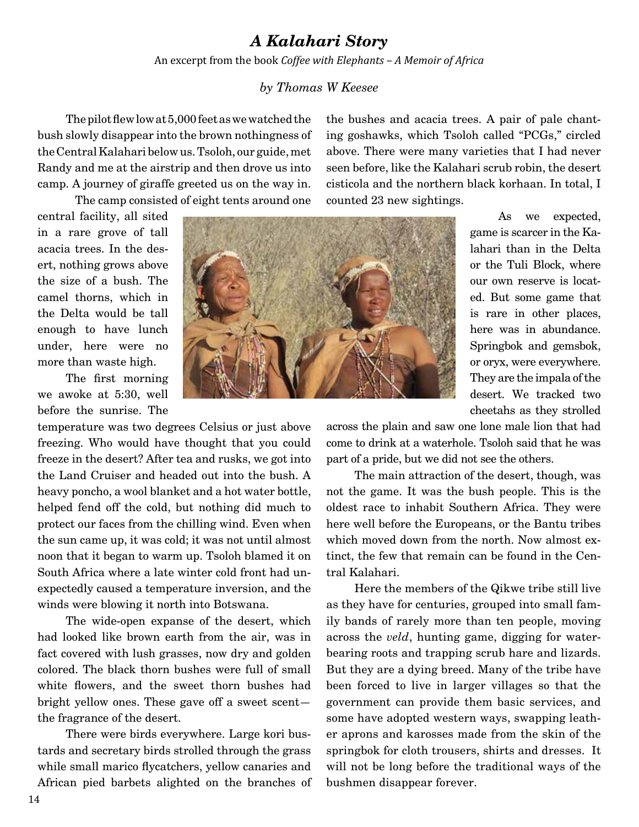### *A Kalahari Story*

An excerpt from the book *Coffee with Elephants – A Memoir of Africa*

### *by Thomas W Keesee*

The pilot flew low at 5,000 feet as we watched the bush slowly disappear into the brown nothingness of the Central Kalahari below us. Tsoloh, our guide, met Randy and me at the airstrip and then drove us into camp. A journey of giraffe greeted us on the way in.

The camp consisted of eight tents around one

central facility, all sited in a rare grove of tall acacia trees. In the desert, nothing grows above the size of a bush. The camel thorns, which in the Delta would be tall enough to have lunch under, here were no more than waste high.

The first morning we awoke at 5:30, well before the sunrise. The

temperature was two degrees Celsius or just above freezing. Who would have thought that you could freeze in the desert? After tea and rusks, we got into the Land Cruiser and headed out into the bush. A heavy poncho, a wool blanket and a hot water bottle, helped fend off the cold, but nothing did much to protect our faces from the chilling wind. Even when the sun came up, it was cold; it was not until almost noon that it began to warm up. Tsoloh blamed it on South Africa where a late winter cold front had unexpectedly caused a temperature inversion, and the winds were blowing it north into Botswana.

The wide-open expanse of the desert, which had looked like brown earth from the air, was in fact covered with lush grasses, now dry and golden colored. The black thorn bushes were full of small white flowers, and the sweet thorn bushes had bright yellow ones. These gave off a sweet scent the fragrance of the desert.

There were birds everywhere. Large kori bustards and secretary birds strolled through the grass while small marico flycatchers, yellow canaries and African pied barbets alighted on the branches of the bushes and acacia trees. A pair of pale chanting goshawks, which Tsoloh called "PCGs," circled above. There were many varieties that I had never seen before, like the Kalahari scrub robin, the desert cisticola and the northern black korhaan. In total, I counted 23 new sightings.



As we expected, game is scarcer in the Kalahari than in the Delta or the Tuli Block, where our own reserve is located. But some game that is rare in other places, here was in abundance. Springbok and gemsbok, or oryx, were everywhere. They are the impala of the desert. We tracked two cheetahs as they strolled

across the plain and saw one lone male lion that had come to drink at a waterhole. Tsoloh said that he was part of a pride, but we did not see the others.

The main attraction of the desert, though, was not the game. It was the bush people. This is the oldest race to inhabit Southern Africa. They were here well before the Europeans, or the Bantu tribes which moved down from the north. Now almost extinct, the few that remain can be found in the Central Kalahari.

Here the members of the Qikwe tribe still live as they have for centuries, grouped into small family bands of rarely more than ten people, moving across the *veld*, hunting game, digging for waterbearing roots and trapping scrub hare and lizards. But they are a dying breed. Many of the tribe have been forced to live in larger villages so that the government can provide them basic services, and some have adopted western ways, swapping leather aprons and karosses made from the skin of the springbok for cloth trousers, shirts and dresses. It will not be long before the traditional ways of the bushmen disappear forever.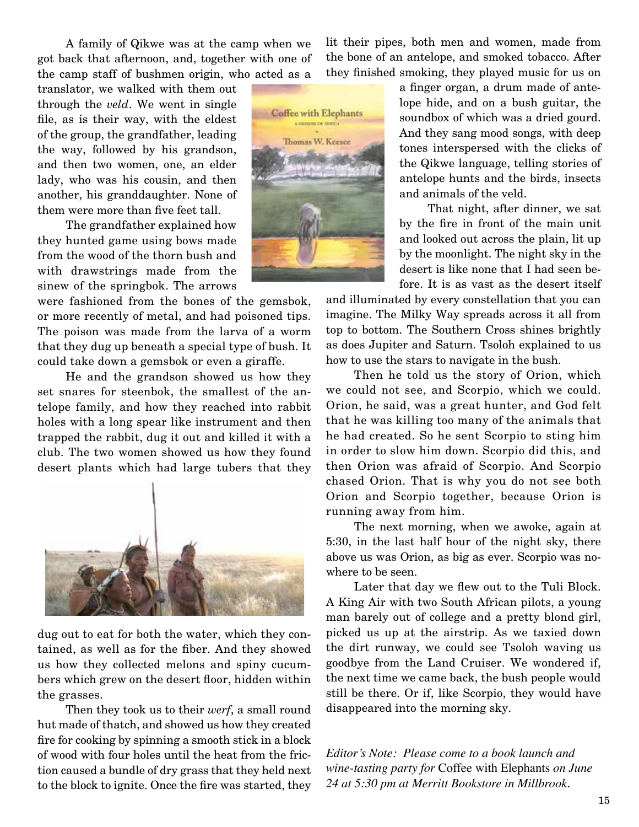A family of Qikwe was at the camp when we got back that afternoon, and, together with one of the camp staff of bushmen origin, who acted as a

translator, we walked with them out through the *veld*. We went in single file, as is their way, with the eldest of the group, the grandfather, leading the way, followed by his grandson, and then two women, one, an elder lady, who was his cousin, and then another, his granddaughter. None of them were more than five feet tall.

The grandfather explained how they hunted game using bows made from the wood of the thorn bush and with drawstrings made from the sinew of the springbok. The arrows

were fashioned from the bones of the gemsbok, or more recently of metal, and had poisoned tips. The poison was made from the larva of a worm that they dug up beneath a special type of bush. It could take down a gemsbok or even a giraffe.

He and the grandson showed us how they set snares for steenbok, the smallest of the antelope family, and how they reached into rabbit holes with a long spear like instrument and then trapped the rabbit, dug it out and killed it with a club. The two women showed us how they found desert plants which had large tubers that they



dug out to eat for both the water, which they contained, as well as for the fiber. And they showed us how they collected melons and spiny cucumbers which grew on the desert floor, hidden within the grasses.

Then they took us to their *werf*, a small round hut made of thatch, and showed us how they created fire for cooking by spinning a smooth stick in a block of wood with four holes until the heat from the friction caused a bundle of dry grass that they held next to the block to ignite. Once the fire was started, they

lit their pipes, both men and women, made from the bone of an antelope, and smoked tobacco. After they finished smoking, they played music for us on



a finger organ, a drum made of antelope hide, and on a bush guitar, the soundbox of which was a dried gourd. And they sang mood songs, with deep tones interspersed with the clicks of the Qikwe language, telling stories of antelope hunts and the birds, insects and animals of the veld.

That night, after dinner, we sat by the fire in front of the main unit and looked out across the plain, lit up by the moonlight. The night sky in the desert is like none that I had seen before. It is as vast as the desert itself

and illuminated by every constellation that you can imagine. The Milky Way spreads across it all from top to bottom. The Southern Cross shines brightly as does Jupiter and Saturn. Tsoloh explained to us how to use the stars to navigate in the bush.

Then he told us the story of Orion, which we could not see, and Scorpio, which we could. Orion, he said, was a great hunter, and God felt that he was killing too many of the animals that he had created. So he sent Scorpio to sting him in order to slow him down. Scorpio did this, and then Orion was afraid of Scorpio. And Scorpio chased Orion. That is why you do not see both Orion and Scorpio together, because Orion is running away from him.

The next morning, when we awoke, again at 5:30, in the last half hour of the night sky, there above us was Orion, as big as ever. Scorpio was nowhere to be seen.

Later that day we flew out to the Tuli Block. A King Air with two South African pilots, a young man barely out of college and a pretty blond girl, picked us up at the airstrip. As we taxied down the dirt runway, we could see Tsoloh waving us goodbye from the Land Cruiser. We wondered if, the next time we came back, the bush people would still be there. Or if, like Scorpio, they would have disappeared into the morning sky.

*Editor's Note: Please come to a book launch and wine-tasting party for* Coffee with Elephants *on June 24 at 5:30 pm at Merritt Bookstore in Millbrook.*